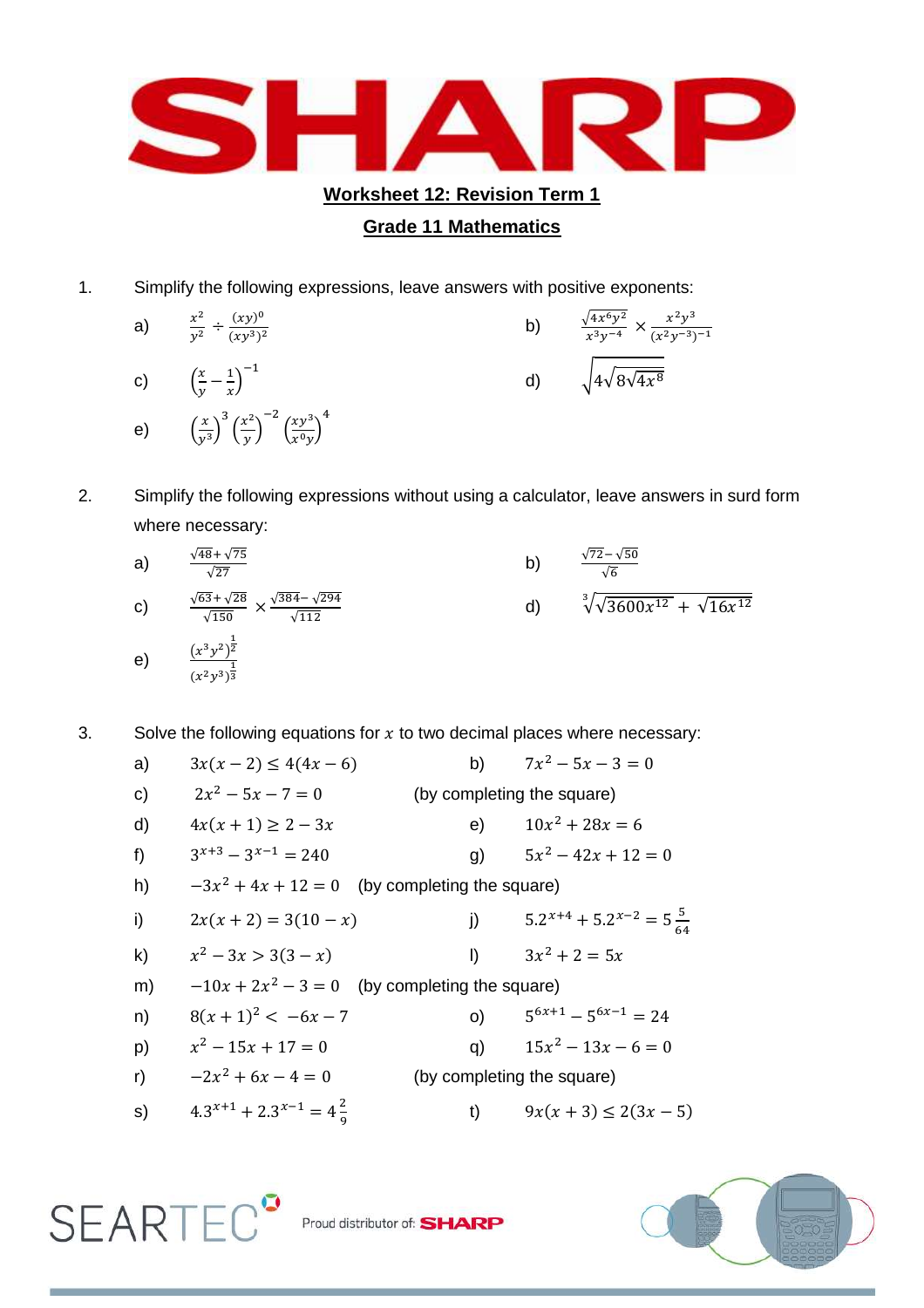

## **Grade 11 Mathematics**

- 1. Simplify the following expressions, leave answers with positive exponents:
	- a)  $\frac{x^2}{x^2}$  $\mathcal{Y}$  $(xy)^0$  $(xy^3)^2$ b)  $\frac{\sqrt{4x^6}}{x^3}$  $x^3$  $x^2y^3$  $(x^2y^{-3})^$ c)  $\left(\frac{x}{y}\right)$  $\frac{x}{y} - \frac{1}{x}$  $\frac{1}{x}$ )<sup>-</sup> d)  $\sqrt{4\sqrt{8\sqrt{4x^8}}}$ e)  $\left(\frac{x}{y}\right)$  $\left(\frac{x}{y^3}\right)^3 \left(\frac{x^2}{y}\right)$  $\frac{y}{y}$ —  $\left(\frac{xy^3}{x^0}\right)$  $\frac{xy}{x^0y}$ 4
- 2. Simplify the following expressions without using a calculator, leave answers in surd form where necessary:
	- a)  $\frac{\sqrt{48} + \sqrt{7}}{\sqrt{27}}$ b)  $\frac{\sqrt{72-\sqrt{5}}}{\sqrt{6}}$ c)  $\frac{\sqrt{63} + \sqrt{28}}{\sqrt{150}} \times \frac{\sqrt{384} - \sqrt{2}}{\sqrt{112}}$  $\sqrt{1}$ d)  $\sqrt[3]{\sqrt{3600x^{12}}} + \sqrt{16x^1}$ e)  $\frac{(x^3y^2)^{\frac{1}{2}}}{1}$  $(x^2y^3)^{\frac{1}{3}}$
- 3. Solve the following equations for  $x$  to two decimal places where necessary:

| a)           | $3x(x-2) \le 4(4x-6)$                            |                            | b) $7x^2 - 5x - 3 = 0$                  |  |  |
|--------------|--------------------------------------------------|----------------------------|-----------------------------------------|--|--|
| c)           | $2x^2 - 5x - 7 = 0$                              | (by completing the square) |                                         |  |  |
| d)           | $4x(x + 1) \ge 2 - 3x$                           | e)                         | $10x^2 + 28x = 6$                       |  |  |
| f)           | $3^{x+3} - 3^{x-1} = 240$                        | g)                         | $5x^2 - 42x + 12 = 0$                   |  |  |
| h)           | $-3x^2 + 4x + 12 = 0$ (by completing the square) |                            |                                         |  |  |
| i)           | $2x(x+2) = 3(10-x)$                              | j)                         | $5.2^{x+4} + 5.2^{x-2} = 5\frac{5}{64}$ |  |  |
| $\mathsf{k}$ | $x^2-3x > 3(3-x)$                                | I)                         | $3x^2 + 2 = 5x$                         |  |  |
| m)           | $-10x + 2x^2 - 3 = 0$ (by completing the square) |                            |                                         |  |  |
| n)           | $8(x+1)^2 < -6x-7$                               | O)                         | $5^{6x+1} - 5^{6x-1} = 24$              |  |  |
| p)           | $x^2-15x+17=0$                                   | q)                         | $15x^2 - 13x - 6 = 0$                   |  |  |
| r)           | $-2x^2 + 6x - 4 = 0$                             | (by completing the square) |                                         |  |  |
| s)           | $4.3^{x+1} + 2.3^{x-1} = 4\frac{2}{x}$           | t)                         | $9x(x+3) \le 2(3x-5)$                   |  |  |

 $\mathsf{SEARTEC}^{\bullet}$  Proud distributor of: SHARP